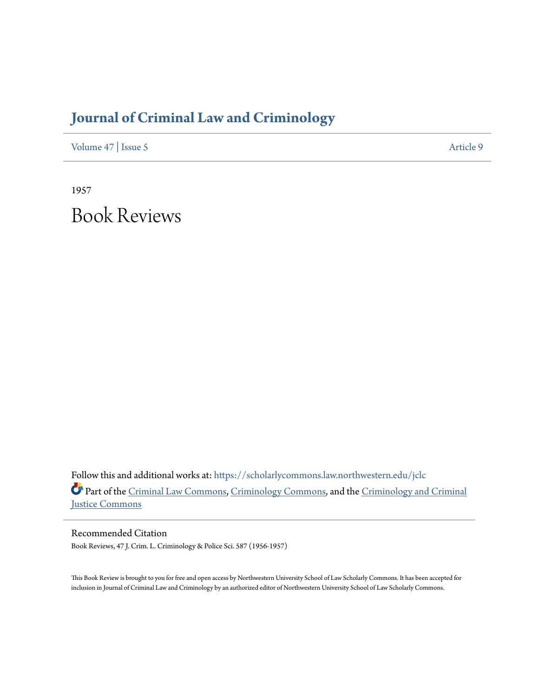## **[Journal of Criminal Law and Criminology](https://scholarlycommons.law.northwestern.edu/jclc?utm_source=scholarlycommons.law.northwestern.edu%2Fjclc%2Fvol47%2Fiss5%2F9&utm_medium=PDF&utm_campaign=PDFCoverPages)**

[Volume 47](https://scholarlycommons.law.northwestern.edu/jclc/vol47?utm_source=scholarlycommons.law.northwestern.edu%2Fjclc%2Fvol47%2Fiss5%2F9&utm_medium=PDF&utm_campaign=PDFCoverPages) | [Issue 5](https://scholarlycommons.law.northwestern.edu/jclc/vol47/iss5?utm_source=scholarlycommons.law.northwestern.edu%2Fjclc%2Fvol47%2Fiss5%2F9&utm_medium=PDF&utm_campaign=PDFCoverPages) [Article 9](https://scholarlycommons.law.northwestern.edu/jclc/vol47/iss5/9?utm_source=scholarlycommons.law.northwestern.edu%2Fjclc%2Fvol47%2Fiss5%2F9&utm_medium=PDF&utm_campaign=PDFCoverPages)

1957 Book Reviews

Follow this and additional works at: [https://scholarlycommons.law.northwestern.edu/jclc](https://scholarlycommons.law.northwestern.edu/jclc?utm_source=scholarlycommons.law.northwestern.edu%2Fjclc%2Fvol47%2Fiss5%2F9&utm_medium=PDF&utm_campaign=PDFCoverPages) Part of the [Criminal Law Commons](http://network.bepress.com/hgg/discipline/912?utm_source=scholarlycommons.law.northwestern.edu%2Fjclc%2Fvol47%2Fiss5%2F9&utm_medium=PDF&utm_campaign=PDFCoverPages), [Criminology Commons](http://network.bepress.com/hgg/discipline/417?utm_source=scholarlycommons.law.northwestern.edu%2Fjclc%2Fvol47%2Fiss5%2F9&utm_medium=PDF&utm_campaign=PDFCoverPages), and the [Criminology and Criminal](http://network.bepress.com/hgg/discipline/367?utm_source=scholarlycommons.law.northwestern.edu%2Fjclc%2Fvol47%2Fiss5%2F9&utm_medium=PDF&utm_campaign=PDFCoverPages) [Justice Commons](http://network.bepress.com/hgg/discipline/367?utm_source=scholarlycommons.law.northwestern.edu%2Fjclc%2Fvol47%2Fiss5%2F9&utm_medium=PDF&utm_campaign=PDFCoverPages)

Recommended Citation Book Reviews, 47 J. Crim. L. Criminology & Police Sci. 587 (1956-1957)

This Book Review is brought to you for free and open access by Northwestern University School of Law Scholarly Commons. It has been accepted for inclusion in Journal of Criminal Law and Criminology by an authorized editor of Northwestern University School of Law Scholarly Commons.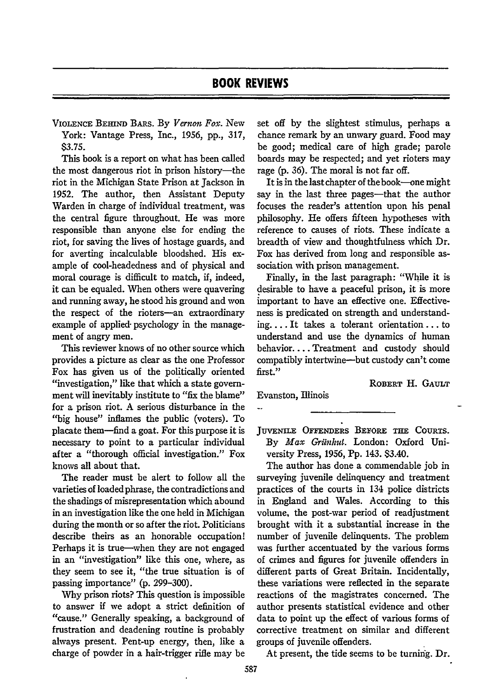VIOLENCE BEHIND BARS. By *Vernon Fox*. New York: Vantage Press, Inc., 1956, pp., 317, \$3.75.

This book is a report on what has been called the most dangerous riot in prison history-the riot in the Michigan State Prison at Jackson in 1952. The author, then Assistant Deputy Warden in charge of individual treatment, was the central figure throughout. He was more responsible than anyone else for ending the riot, for saving the lives of hostage guards, and for averting incalculable bloodshed. His example of cool-headedness and of physical and moral courage is difficult to match, if, indeed, it can be equaled. When others were quavering and running away, he stood his ground and won the respect of the rioters-an extraordinary example of applied- psychology in the management of angry men.

This reviewer knows of no other source which provides a picture as clear as the one Professor Fox has given us of the politically oriented "investigation," like that which a state government will inevitably institute to "fix the blame" for a prison riot. A serious disturbance in the "big house" inflames the public (voters). To placate them-find a goat. For this purpose it is necessary to point to a particular individual after a "thorough official investigation." Fox knows all about that.

The reader must be alert to follow all the varieties of loaded phrase, the contradictions and the shadings of misrepresentation which abound in an investigation like the one held in Michigan during the month or so after the riot. Politicians describe theirs as an honorable occupation! Perhaps it is true-when they are not engaged in an "investigation" like this one, where, as they seem to see it, "the true situation is of passing importance" (p. 299-300).

Why prison riots? This question is impossible to answer if we adopt a strict definition of "cause." Generally speaking, a background of frustration and deadening routine is probably always present. Pent-up energy, then, like a charge of powder in a hair-trigger rifle may be set off by the slightest stimulus, perhaps a chance remark by an unwary guard. Food may be good; medical care of high grade; parole boards may be respected; and yet rioters may rage (p. 36). The moral is not far off.

It is in the last chapter of the book-one might say in the last three pages-that the author focuses the reader's attention upon his penal philosophy. He offers fifteen hypotheses with reference to causes of riots. These indicate a breadth of view and thoughtfulness which Dr. Fox has derived from long and responsible association with prison management.

Finally, in the last paragraph: "While it is desirable to have a peaceful prison, it is more important to have an effective one. Effectiveness is predicated on strength and understanding.... It takes a tolerant orientation.., to understand and use the dynamics of human behavior.... Treatment and custody should compatibly intertvine-but custody can't come first."

ROBERT H. GAULT

Evanston, Illinois

**JUVENILE OFFENDERS BEFORE THE COURTS.** By *Max Griinhut.* London: Oxford University Press, 1956, Pp. 143. \$3.40.

The author has done a commendable job in surveying juvenile delinquency and treatment practices of the courts in 134 police districts in England and Wales. According to this volume, the post-war period of readjustment brought with it a substantial increase in the number of juvenile delinquents. The problem was further accentuated by the various forms of crimes and figures for juvenile offenders in different parts of Great Britain. Incidentally, these variations were reflected in the separate reactions of the magistrates concerned. The author presents statistical evidence and other data to point up the effect of various forms of corrective treatment on similar and different groups of juvenile offenders.

At present, the tide seems to be turning. Dr.